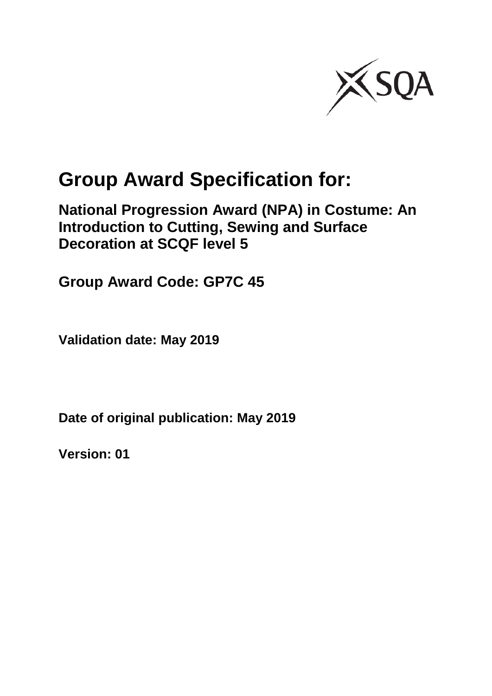

# **Group Award Specification for:**

**National Progression Award (NPA) in Costume: An Introduction to Cutting, Sewing and Surface Decoration at SCQF level 5**

**Group Award Code: GP7C 45**

**Validation date: May 2019**

**Date of original publication: May 2019**

**Version: 01**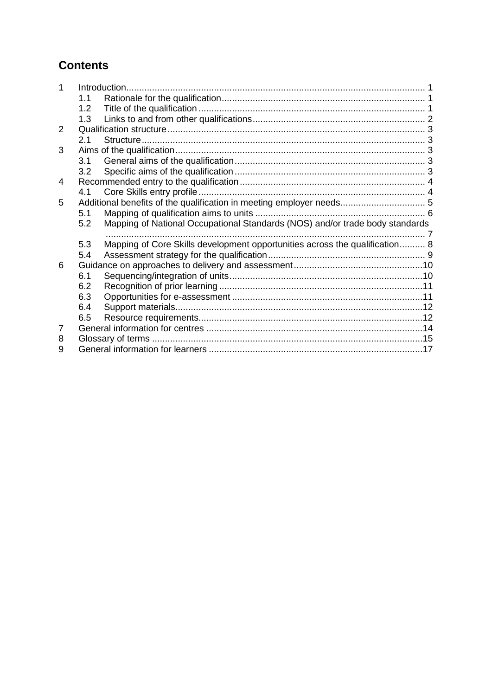### **Contents**

|                |                  | Introduction.                                                                |  |
|----------------|------------------|------------------------------------------------------------------------------|--|
|                | 1.1              |                                                                              |  |
|                | 1.2 <sub>1</sub> |                                                                              |  |
|                | 1.3              |                                                                              |  |
| $\overline{2}$ |                  |                                                                              |  |
|                | 2.1              |                                                                              |  |
| 3              |                  |                                                                              |  |
|                | 3.1              |                                                                              |  |
|                | 3.2              |                                                                              |  |
| 4              |                  |                                                                              |  |
|                | 4.1              |                                                                              |  |
| 5              |                  |                                                                              |  |
|                | 5.1              |                                                                              |  |
|                | 5.2              | Mapping of National Occupational Standards (NOS) and/or trade body standards |  |
|                |                  |                                                                              |  |
|                | 5.3              | Mapping of Core Skills development opportunities across the qualification 8  |  |
|                | 5.4              |                                                                              |  |
| 6              |                  |                                                                              |  |
|                |                  |                                                                              |  |
|                | 6.1              |                                                                              |  |
|                | 6.2              |                                                                              |  |
|                | 6.3              |                                                                              |  |
|                | 6.4              |                                                                              |  |
|                | 6.5              |                                                                              |  |
| 7              |                  |                                                                              |  |
| 8              |                  |                                                                              |  |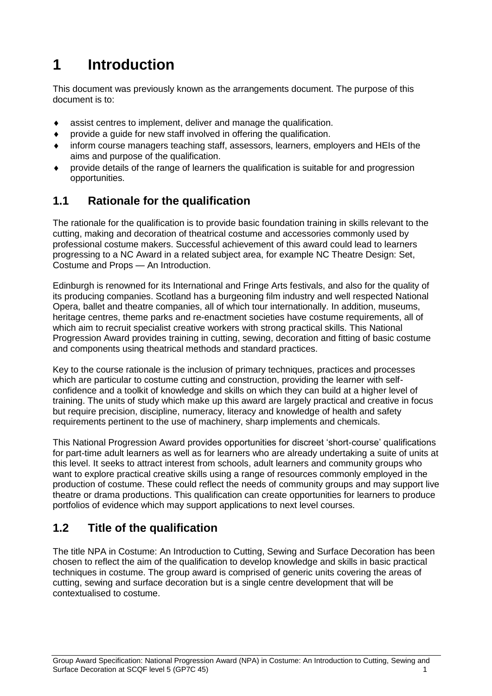## <span id="page-2-0"></span>**1 Introduction**

This document was previously known as the arrangements document. The purpose of this document is to:

- assist centres to implement, deliver and manage the qualification.
- provide a guide for new staff involved in offering the qualification.
- inform course managers teaching staff, assessors, learners, employers and HEIs of the aims and purpose of the qualification.
- provide details of the range of learners the qualification is suitable for and progression opportunities.

#### <span id="page-2-1"></span>**1.1 Rationale for the qualification**

The rationale for the qualification is to provide basic foundation training in skills relevant to the cutting, making and decoration of theatrical costume and accessories commonly used by professional costume makers. Successful achievement of this award could lead to learners progressing to a NC Award in a related subject area, for example NC Theatre Design: Set, Costume and Props — An Introduction.

Edinburgh is renowned for its International and Fringe Arts festivals, and also for the quality of its producing companies. Scotland has a burgeoning film industry and well respected National Opera, ballet and theatre companies, all of which tour internationally. In addition, museums, heritage centres, theme parks and re-enactment societies have costume requirements, all of which aim to recruit specialist creative workers with strong practical skills. This National Progression Award provides training in cutting, sewing, decoration and fitting of basic costume and components using theatrical methods and standard practices.

Key to the course rationale is the inclusion of primary techniques, practices and processes which are particular to costume cutting and construction, providing the learner with selfconfidence and a toolkit of knowledge and skills on which they can build at a higher level of training. The units of study which make up this award are largely practical and creative in focus but require precision, discipline, numeracy, literacy and knowledge of health and safety requirements pertinent to the use of machinery, sharp implements and chemicals.

This National Progression Award provides opportunities for discreet 'short-course' qualifications for part-time adult learners as well as for learners who are already undertaking a suite of units at this level. It seeks to attract interest from schools, adult learners and community groups who want to explore practical creative skills using a range of resources commonly employed in the production of costume. These could reflect the needs of community groups and may support live theatre or drama productions. This qualification can create opportunities for learners to produce portfolios of evidence which may support applications to next level courses.

### <span id="page-2-2"></span>**1.2 Title of the qualification**

The title NPA in Costume: An Introduction to Cutting, Sewing and Surface Decoration has been chosen to reflect the aim of the qualification to develop knowledge and skills in basic practical techniques in costume. The group award is comprised of generic units covering the areas of cutting, sewing and surface decoration but is a single centre development that will be contextualised to costume.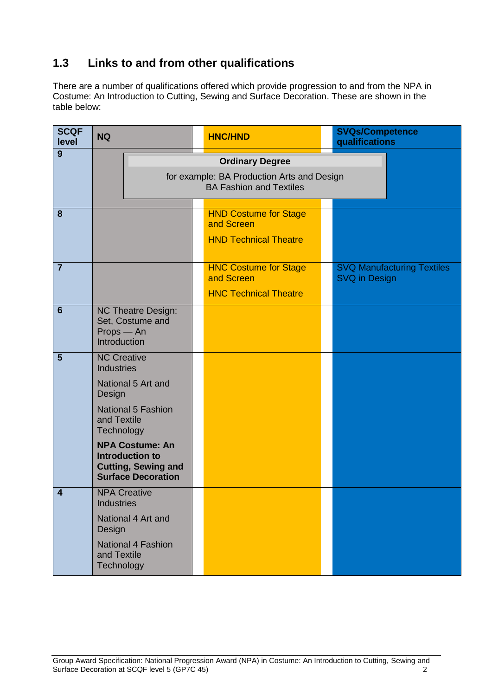### <span id="page-3-0"></span>**1.3 Links to and from other qualifications**

There are a number of qualifications offered which provide progression to and from the NPA in Costume: An Introduction to Cutting, Sewing and Surface Decoration. These are shown in the table below:

| <b>SCQF</b><br>level    | <b>NQ</b>                               |                                                                                                             | <b>HNC/HND</b>                                                               | <b>SVQs/Competence</b><br>qualifications                  |
|-------------------------|-----------------------------------------|-------------------------------------------------------------------------------------------------------------|------------------------------------------------------------------------------|-----------------------------------------------------------|
| 9                       |                                         |                                                                                                             | <b>Ordinary Degree</b>                                                       |                                                           |
|                         |                                         |                                                                                                             | for example: BA Production Arts and Design<br><b>BA Fashion and Textiles</b> |                                                           |
| 8                       |                                         |                                                                                                             | <b>HND Costume for Stage</b><br>and Screen<br><b>HND Technical Theatre</b>   |                                                           |
|                         |                                         |                                                                                                             |                                                                              |                                                           |
| $\overline{7}$          |                                         |                                                                                                             | <b>HNC Costume for Stage</b><br>and Screen                                   | <b>SVQ Manufacturing Textiles</b><br><b>SVQ in Design</b> |
|                         |                                         |                                                                                                             | <b>HNC Technical Theatre</b>                                                 |                                                           |
| $6\phantom{1}6$         | Props - An<br>Introduction              | <b>NC Theatre Design:</b><br>Set, Costume and                                                               |                                                                              |                                                           |
| 5                       | <b>NC Creative</b><br><b>Industries</b> |                                                                                                             |                                                                              |                                                           |
|                         | Design                                  | National 5 Art and                                                                                          |                                                                              |                                                           |
|                         | and Textile<br>Technology               | <b>National 5 Fashion</b>                                                                                   |                                                                              |                                                           |
|                         |                                         | <b>NPA Costume: An</b><br><b>Introduction to</b><br><b>Cutting, Sewing and</b><br><b>Surface Decoration</b> |                                                                              |                                                           |
| $\overline{\mathbf{A}}$ | <b>Industries</b>                       | <b>NPA Creative</b>                                                                                         |                                                                              |                                                           |
|                         | Design                                  | National 4 Art and                                                                                          |                                                                              |                                                           |
|                         | and Textile<br>Technology               | <b>National 4 Fashion</b>                                                                                   |                                                                              |                                                           |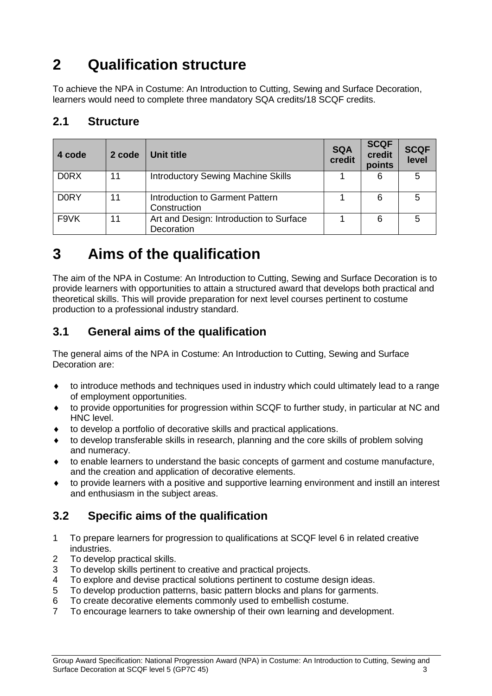## <span id="page-4-0"></span>**2 Qualification structure**

To achieve the NPA in Costume: An Introduction to Cutting, Sewing and Surface Decoration, learners would need to complete three mandatory SQA credits/18 SCQF credits.

### <span id="page-4-1"></span>**2.1 Structure**

| 4 code      | 2 code | Unit title                                            | <b>SQA</b><br>credit | <b>SCQF</b><br>credit<br>points | <b>SCQF</b><br>level |
|-------------|--------|-------------------------------------------------------|----------------------|---------------------------------|----------------------|
| <b>DORX</b> | 11     | <b>Introductory Sewing Machine Skills</b>             |                      | 6                               | 5                    |
| <b>DORY</b> | 11     | Introduction to Garment Pattern<br>Construction       |                      | 6                               | 5                    |
| F9VK        | 11     | Art and Design: Introduction to Surface<br>Decoration |                      | 6                               | 5                    |

## <span id="page-4-2"></span>**3 Aims of the qualification**

The aim of the NPA in Costume: An Introduction to Cutting, Sewing and Surface Decoration is to provide learners with opportunities to attain a structured award that develops both practical and theoretical skills. This will provide preparation for next level courses pertinent to costume production to a professional industry standard.

### <span id="page-4-3"></span>**3.1 General aims of the qualification**

The general aims of the NPA in Costume: An Introduction to Cutting, Sewing and Surface Decoration are:

- to introduce methods and techniques used in industry which could ultimately lead to a range of employment opportunities.
- to provide opportunities for progression within SCQF to further study, in particular at NC and HNC level.
- to develop a portfolio of decorative skills and practical applications.
- to develop transferable skills in research, planning and the core skills of problem solving and numeracy.
- to enable learners to understand the basic concepts of garment and costume manufacture, and the creation and application of decorative elements.
- to provide learners with a positive and supportive learning environment and instill an interest and enthusiasm in the subject areas.

### <span id="page-4-4"></span>**3.2 Specific aims of the qualification**

- 1 To prepare learners for progression to qualifications at SCQF level 6 in related creative industries.
- 2 To develop practical skills.
- 3 To develop skills pertinent to creative and practical projects.
- 4 To explore and devise practical solutions pertinent to costume design ideas.
- 5 To develop production patterns, basic pattern blocks and plans for garments.
- 6 To create decorative elements commonly used to embellish costume.
- 7 To encourage learners to take ownership of their own learning and development.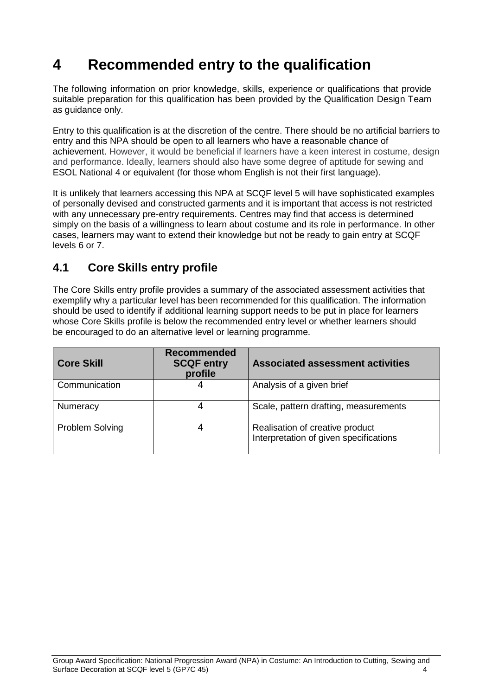## <span id="page-5-0"></span>**4 Recommended entry to the qualification**

The following information on prior knowledge, skills, experience or qualifications that provide suitable preparation for this qualification has been provided by the Qualification Design Team as guidance only.

Entry to this qualification is at the discretion of the centre. There should be no artificial barriers to entry and this NPA should be open to all learners who have a reasonable chance of achievement. However, it would be beneficial if learners have a keen interest in costume, design and performance. Ideally, learners should also have some degree of aptitude for sewing and ESOL National 4 or equivalent (for those whom English is not their first language).

It is unlikely that learners accessing this NPA at SCQF level 5 will have sophisticated examples of personally devised and constructed garments and it is important that access is not restricted with any unnecessary pre-entry requirements. Centres may find that access is determined simply on the basis of a willingness to learn about costume and its role in performance. In other cases, learners may want to extend their knowledge but not be ready to gain entry at SCQF levels 6 or 7.

### <span id="page-5-1"></span>**4.1 Core Skills entry profile**

The Core Skills entry profile provides a summary of the associated assessment activities that exemplify why a particular level has been recommended for this qualification. The information should be used to identify if additional learning support needs to be put in place for learners whose Core Skills profile is below the recommended entry level or whether learners should be encouraged to do an alternative level or learning programme.

| <b>Core Skill</b> | <b>Recommended</b><br><b>SCQF entry</b><br>profile | <b>Associated assessment activities</b>                                   |
|-------------------|----------------------------------------------------|---------------------------------------------------------------------------|
| Communication     | 4                                                  | Analysis of a given brief                                                 |
| Numeracy          | 4                                                  | Scale, pattern drafting, measurements                                     |
| Problem Solving   |                                                    | Realisation of creative product<br>Interpretation of given specifications |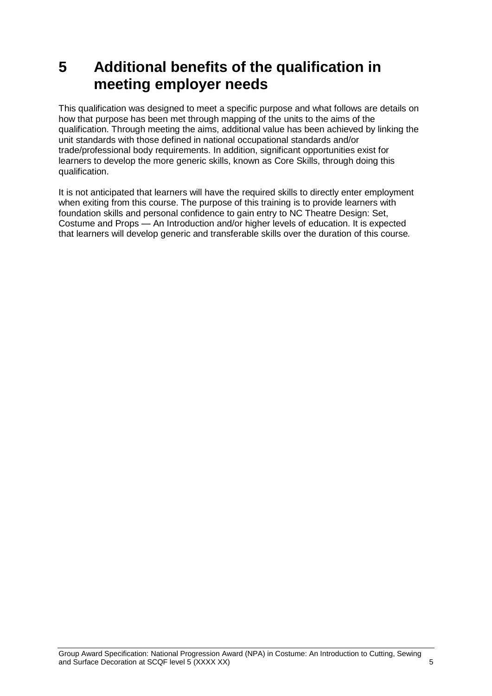## <span id="page-6-0"></span>**5 Additional benefits of the qualification in meeting employer needs**

This qualification was designed to meet a specific purpose and what follows are details on how that purpose has been met through mapping of the units to the aims of the qualification. Through meeting the aims, additional value has been achieved by linking the unit standards with those defined in national occupational standards and/or trade/professional body requirements. In addition, significant opportunities exist for learners to develop the more generic skills, known as Core Skills, through doing this qualification.

It is not anticipated that learners will have the required skills to directly enter employment when exiting from this course. The purpose of this training is to provide learners with foundation skills and personal confidence to gain entry to NC Theatre Design: Set, Costume and Props — An Introduction and/or higher levels of education. It is expected that learners will develop generic and transferable skills over the duration of this course*.*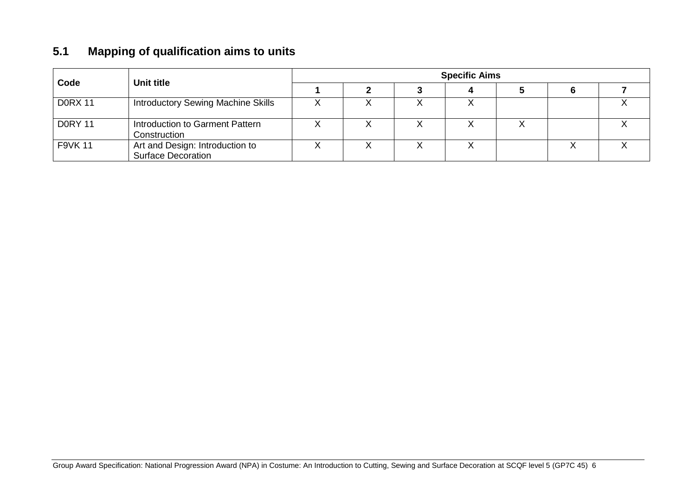### **5.1 Mapping of qualification aims to units**

<span id="page-7-0"></span>

| Code           | <b>Unit title</b>                                            | <b>Specific Aims</b> |  |  |  |  |  |  |  |  |  |
|----------------|--------------------------------------------------------------|----------------------|--|--|--|--|--|--|--|--|--|
|                |                                                              |                      |  |  |  |  |  |  |  |  |  |
| <b>DORX 11</b> | <b>Introductory Sewing Machine Skills</b>                    |                      |  |  |  |  |  |  |  |  |  |
| <b>DORY 11</b> | Introduction to Garment Pattern<br>Construction              |                      |  |  |  |  |  |  |  |  |  |
| <b>F9VK 11</b> | Art and Design: Introduction to<br><b>Surface Decoration</b> |                      |  |  |  |  |  |  |  |  |  |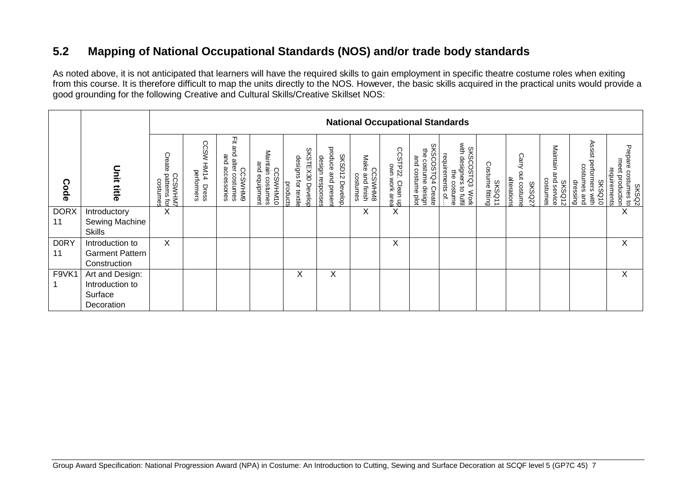### **5.2 Mapping of National Occupational Standards (NOS) and/or trade body standards**

As noted above, it is not anticipated that learners will have the required skills to gain employment in specific theatre costume roles when exiting from this course. It is therefore difficult to map the units directly to the NOS. However, the basic skills acquired in the practical units would provide a good grounding for the following Creative and Cultural Skills/Creative Skillset NOS:

<span id="page-8-0"></span>

| <b>National Occupational Standards</b> |                                        |                                                    |                                     |                                                                       |                                                          |                                                               |                                                                    |                                                  |                                             |                                                                         |                                                                                                     |                                  |                                                      |                                                     |                                                                     |                                                                    |
|----------------------------------------|----------------------------------------|----------------------------------------------------|-------------------------------------|-----------------------------------------------------------------------|----------------------------------------------------------|---------------------------------------------------------------|--------------------------------------------------------------------|--------------------------------------------------|---------------------------------------------|-------------------------------------------------------------------------|-----------------------------------------------------------------------------------------------------|----------------------------------|------------------------------------------------------|-----------------------------------------------------|---------------------------------------------------------------------|--------------------------------------------------------------------|
| Code                                   | <b>Unit title</b>                      | Create<br>patterns fo<br><b>CCSWHM</b><br>costumes | CCSW<br>HM14<br>performers<br>Dress | 곷<br>ω<br>Ω<br>and<br>alter costumes<br>accessories<br><b>CCSWHM9</b> | Maintain costumes<br>and equipment<br>႙<br><b>SWHM10</b> | <b>SKSTEX30 Develop</b><br>designs<br>for textile<br>products | produce and presen<br><b>SKSD12</b><br>design responses<br>Develop | Make<br><b>CCSWHM8</b><br>and finish<br>costumes | CCSTP22.<br>TP22. Clean up<br>own work area | <b>SKSCOSTQ4</b><br>the costume<br>and costume plot<br>design<br>Create | SKSCOSTQ3<br>with designers to<br>requirements of<br>designers<br>₿<br>costume<br>to fulfil<br>Work | Costume fitting<br><b>SKSQ11</b> | Carry<br>out costume<br>alterations<br><b>SKSQ27</b> | Maintain<br>nd service<br>costumes<br><b>SKSQ12</b> | Assist performers with<br>costumes and<br>dressing<br><b>SKSQ10</b> | Prepare<br>meet production<br>requirements<br>costumes to<br>SKSQ2 |
| <b>DORX</b>                            | Introductory                           | X                                                  |                                     |                                                                       |                                                          |                                                               |                                                                    | X                                                | X                                           |                                                                         |                                                                                                     |                                  |                                                      |                                                     |                                                                     | X                                                                  |
| 11                                     | Sewing Machine<br><b>Skills</b>        |                                                    |                                     |                                                                       |                                                          |                                                               |                                                                    |                                                  |                                             |                                                                         |                                                                                                     |                                  |                                                      |                                                     |                                                                     |                                                                    |
| <b>DORY</b>                            | Introduction to                        | X                                                  |                                     |                                                                       |                                                          |                                                               |                                                                    |                                                  | Х                                           |                                                                         |                                                                                                     |                                  |                                                      |                                                     |                                                                     | Χ                                                                  |
| 11                                     | <b>Garment Pattern</b><br>Construction |                                                    |                                     |                                                                       |                                                          |                                                               |                                                                    |                                                  |                                             |                                                                         |                                                                                                     |                                  |                                                      |                                                     |                                                                     |                                                                    |
| F9VK1                                  | Art and Design:                        |                                                    |                                     |                                                                       |                                                          | X                                                             | X                                                                  |                                                  |                                             |                                                                         |                                                                                                     |                                  |                                                      |                                                     |                                                                     | X                                                                  |
|                                        | Introduction to                        |                                                    |                                     |                                                                       |                                                          |                                                               |                                                                    |                                                  |                                             |                                                                         |                                                                                                     |                                  |                                                      |                                                     |                                                                     |                                                                    |
|                                        | Surface                                |                                                    |                                     |                                                                       |                                                          |                                                               |                                                                    |                                                  |                                             |                                                                         |                                                                                                     |                                  |                                                      |                                                     |                                                                     |                                                                    |
|                                        | Decoration                             |                                                    |                                     |                                                                       |                                                          |                                                               |                                                                    |                                                  |                                             |                                                                         |                                                                                                     |                                  |                                                      |                                                     |                                                                     |                                                                    |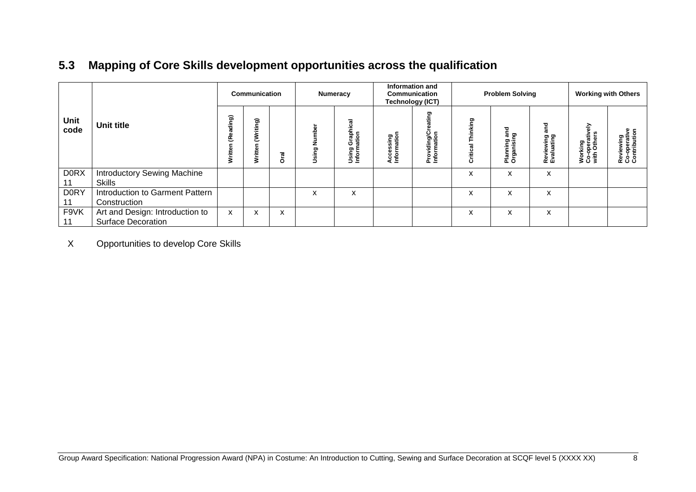### **5.3 Mapping of Core Skills development opportunities across the qualification**

|              |                                                              | <b>Communication</b>    |                        |             | Numeracy                                |                                           | <b>Information and</b><br><b>Communication</b><br><b>Technology (ICT)</b> |                                  | <b>Problem Solving</b> |                                                |                                       | <b>Working with Others</b>                  |                                                         |
|--------------|--------------------------------------------------------------|-------------------------|------------------------|-------------|-----------------------------------------|-------------------------------------------|---------------------------------------------------------------------------|----------------------------------|------------------------|------------------------------------------------|---------------------------------------|---------------------------------------------|---------------------------------------------------------|
| Unit<br>code | Unit title                                                   | ding)<br>ይ<br>rite<br>3 | ଇ<br>Ê<br>ξ<br>Writter | <b>Trai</b> | $\overline{\mathbf{c}}$<br>ź<br>Using I | ਛ<br>Graphica<br>ation<br>Using<br>Inform | Accessing<br>Information                                                  | ත<br>Providing/Cr<br>Information | hinking<br>Critical    | and<br>፵<br><u>은 증</u><br>lanni<br>rgani<br>ᅙᇰ | <b>Pue</b><br>Reviewing<br>Evaluating | 즚<br>Working<br>Co-operative<br>with Others | $\bullet$ c<br>Reviewing<br>Co-operativ<br>Contribution |
| <b>DORX</b>  | <b>Introductory Sewing Machine</b>                           |                         |                        |             |                                         |                                           |                                                                           |                                  | X                      | X                                              | X                                     |                                             |                                                         |
|              | <b>Skills</b>                                                |                         |                        |             |                                         |                                           |                                                                           |                                  |                        |                                                |                                       |                                             |                                                         |
| <b>D0RY</b>  | Introduction to Garment Pattern<br>Construction              |                         |                        |             | X                                       | X                                         |                                                                           |                                  | X                      | X                                              | x                                     |                                             |                                                         |
| F9VK         | Art and Design: Introduction to<br><b>Surface Decoration</b> | X                       | X                      | X           |                                         |                                           |                                                                           |                                  | X                      | X                                              | X                                     |                                             |                                                         |

<span id="page-9-0"></span>X Opportunities to develop Core Skills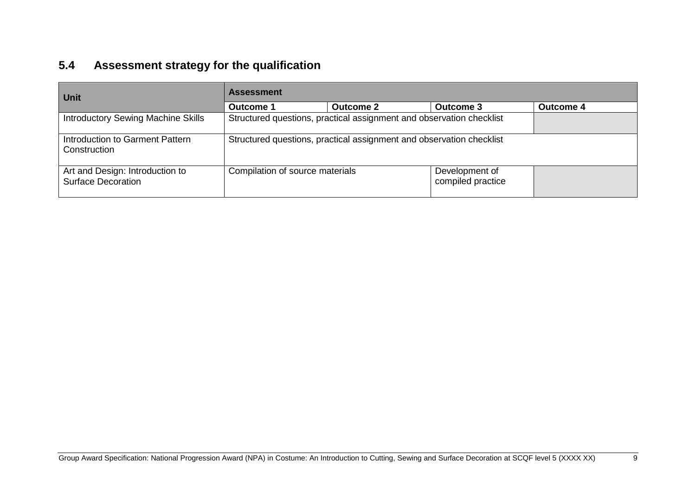## **5.4 Assessment strategy for the qualification**

<span id="page-10-0"></span>

| <b>Unit</b>                                                  | <b>Assessment</b>               |                                                                      |                                     |                  |  |  |  |  |  |
|--------------------------------------------------------------|---------------------------------|----------------------------------------------------------------------|-------------------------------------|------------------|--|--|--|--|--|
|                                                              | <b>Outcome 1</b>                | <b>Outcome 2</b>                                                     | <b>Outcome 3</b>                    | <b>Outcome 4</b> |  |  |  |  |  |
| <b>Introductory Sewing Machine Skills</b>                    |                                 | Structured questions, practical assignment and observation checklist |                                     |                  |  |  |  |  |  |
| Introduction to Garment Pattern<br>Construction              |                                 | Structured questions, practical assignment and observation checklist |                                     |                  |  |  |  |  |  |
| Art and Design: Introduction to<br><b>Surface Decoration</b> | Compilation of source materials |                                                                      | Development of<br>compiled practice |                  |  |  |  |  |  |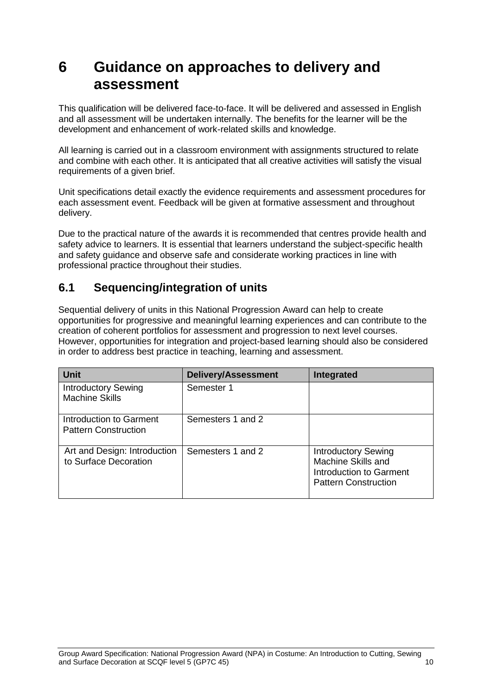## <span id="page-11-0"></span>**6 Guidance on approaches to delivery and assessment**

This qualification will be delivered face-to-face. It will be delivered and assessed in English and all assessment will be undertaken internally. The benefits for the learner will be the development and enhancement of work-related skills and knowledge.

All learning is carried out in a classroom environment with assignments structured to relate and combine with each other. It is anticipated that all creative activities will satisfy the visual requirements of a given brief.

Unit specifications detail exactly the evidence requirements and assessment procedures for each assessment event. Feedback will be given at formative assessment and throughout delivery.

Due to the practical nature of the awards it is recommended that centres provide health and safety advice to learners. It is essential that learners understand the subject-specific health and safety guidance and observe safe and considerate working practices in line with professional practice throughout their studies.

#### <span id="page-11-1"></span>**6.1 Sequencing/integration of units**

Sequential delivery of units in this National Progression Award can help to create opportunities for progressive and meaningful learning experiences and can contribute to the creation of coherent portfolios for assessment and progression to next level courses. However, opportunities for integration and project-based learning should also be considered in order to address best practice in teaching, learning and assessment.

| <b>Unit</b>                                            | <b>Delivery/Assessment</b> | Integrated                                                                                                 |
|--------------------------------------------------------|----------------------------|------------------------------------------------------------------------------------------------------------|
| <b>Introductory Sewing</b><br><b>Machine Skills</b>    | Semester 1                 |                                                                                                            |
| Introduction to Garment<br><b>Pattern Construction</b> | Semesters 1 and 2          |                                                                                                            |
| Art and Design: Introduction<br>to Surface Decoration  | Semesters 1 and 2          | <b>Introductory Sewing</b><br>Machine Skills and<br>Introduction to Garment<br><b>Pattern Construction</b> |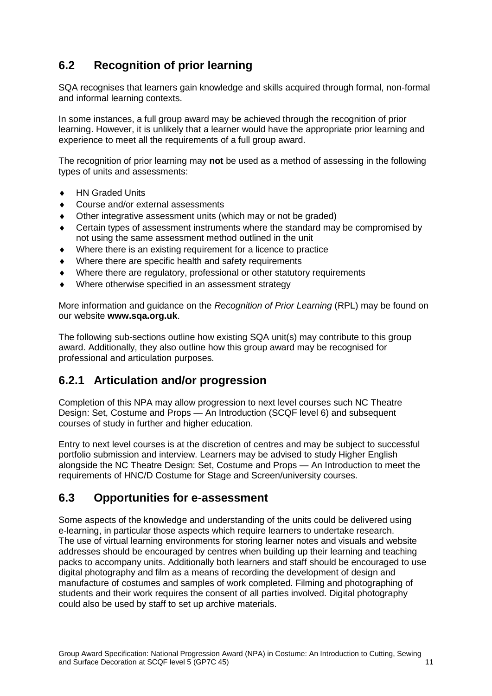### <span id="page-12-0"></span>**6.2 Recognition of prior learning**

SQA recognises that learners gain knowledge and skills acquired through formal, non-formal and informal learning contexts.

In some instances, a full group award may be achieved through the recognition of prior learning. However, it is unlikely that a learner would have the appropriate prior learning and experience to meet all the requirements of a full group award.

The recognition of prior learning may **not** be used as a method of assessing in the following types of units and assessments:

- ◆ HN Graded Units
- Course and/or external assessments
- Other integrative assessment units (which may or not be graded)
- Certain types of assessment instruments where the standard may be compromised by not using the same assessment method outlined in the unit
- Where there is an existing requirement for a licence to practice
- Where there are specific health and safety requirements
- Where there are regulatory, professional or other statutory requirements
- Where otherwise specified in an assessment strategy

More information and guidance on the *Recognition of Prior Learning* (RPL) may be found on our website **[www.sqa.org.uk](http://www.sqa.org.uk/)**.

The following sub-sections outline how existing SQA unit(s) may contribute to this group award. Additionally, they also outline how this group award may be recognised for professional and articulation purposes.

### **6.2.1 Articulation and/or progression**

Completion of this NPA may allow progression to next level courses such NC Theatre Design: Set, Costume and Props — An Introduction (SCQF level 6) and subsequent courses of study in further and higher education.

Entry to next level courses is at the discretion of centres and may be subject to successful portfolio submission and interview. Learners may be advised to study Higher English alongside the NC Theatre Design: Set, Costume and Props — An Introduction to meet the requirements of HNC/D Costume for Stage and Screen/university courses.

#### <span id="page-12-1"></span>**6.3 Opportunities for e-assessment**

Some aspects of the knowledge and understanding of the units could be delivered using e-learning, in particular those aspects which require learners to undertake research. The use of virtual learning environments for storing learner notes and visuals and website addresses should be encouraged by centres when building up their learning and teaching packs to accompany units. Additionally both learners and staff should be encouraged to use digital photography and film as a means of recording the development of design and manufacture of costumes and samples of work completed. Filming and photographing of students and their work requires the consent of all parties involved. Digital photography could also be used by staff to set up archive materials.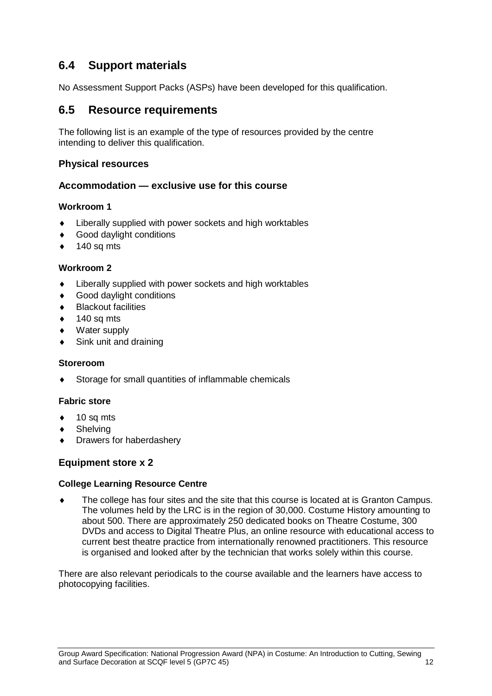### <span id="page-13-0"></span>**6.4 Support materials**

No Assessment Support Packs (ASPs) have been developed for this qualification.

#### <span id="page-13-1"></span>**6.5 Resource requirements**

The following list is an example of the type of resources provided by the centre intending to deliver this qualification.

#### **Physical resources**

#### **Accommodation — exclusive use for this course**

#### **Workroom 1**

- Liberally supplied with power sockets and high worktables
- Good daylight conditions
- $\bullet$  140 sq mts

#### **Workroom 2**

- Liberally supplied with power sockets and high worktables
- Good daylight conditions
- Blackout facilities
- 140 sq mts
- Water supply
- Sink unit and draining

#### **Storeroom**

Storage for small quantities of inflammable chemicals

#### **Fabric store**

- 10 sq mts
- **Shelving**
- Drawers for haberdashery

#### **Equipment store x 2**

#### **College Learning Resource Centre**

 The college has four sites and the site that this course is located at is Granton Campus. The volumes held by the LRC is in the region of 30,000. Costume History amounting to about 500. There are approximately 250 dedicated books on Theatre Costume, 300 DVDs and access to Digital Theatre Plus, an online resource with educational access to current best theatre practice from internationally renowned practitioners. This resource is organised and looked after by the technician that works solely within this course.

There are also relevant periodicals to the course available and the learners have access to photocopying facilities.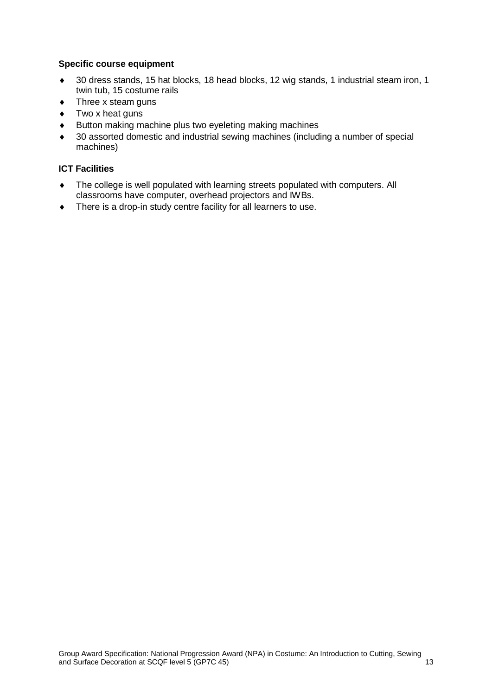#### **Specific course equipment**

- 30 dress stands, 15 hat blocks, 18 head blocks, 12 wig stands, 1 industrial steam iron, 1 twin tub, 15 costume rails
- Three x steam guns
- $\bullet$  Two x heat guns
- Button making machine plus two eyeleting making machines
- 30 assorted domestic and industrial sewing machines (including a number of special machines)

#### **ICT Facilities**

- The college is well populated with learning streets populated with computers. All classrooms have computer, overhead projectors and IWBs.
- $\bullet$  There is a drop-in study centre facility for all learners to use.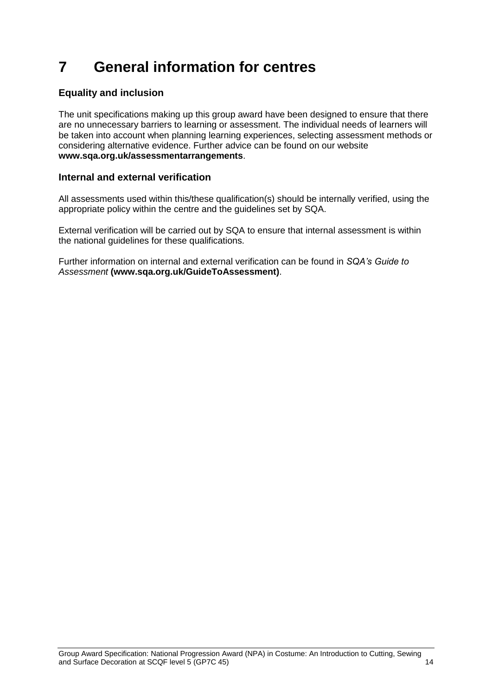## <span id="page-15-0"></span>**7 General information for centres**

#### **Equality and inclusion**

The unit specifications making up this group award have been designed to ensure that there are no unnecessary barriers to learning or assessment. The individual needs of learners will be taken into account when planning learning experiences, selecting assessment methods or considering alternative evidence. Further advice can be found on our website **[www.sqa.org.uk/assessmentarrangements](http://www.sqa.org.uk/sqa/14977.html)**.

#### **Internal and external verification**

All assessments used within this/these qualification(s) should be internally verified, using the appropriate policy within the centre and the guidelines set by SQA.

External verification will be carried out by SQA to ensure that internal assessment is within the national guidelines for these qualifications.

Further information on internal and external verification can be found in *SQA's Guide to Assessment* **[\(www.sqa.org.uk/GuideToAssessment\)](http://www.sqa.org.uk/sqa/files_ccc/GuideToAssessment.pdf)**.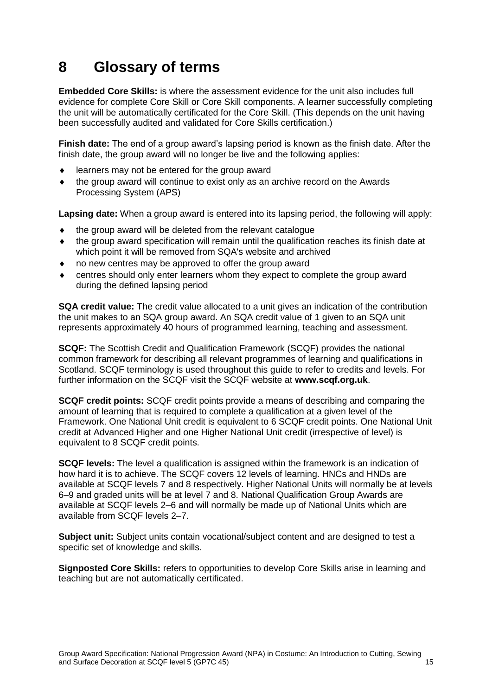## <span id="page-16-0"></span>**8 Glossary of terms**

**Embedded Core Skills:** is where the assessment evidence for the unit also includes full evidence for complete Core Skill or Core Skill components. A learner successfully completing the unit will be automatically certificated for the Core Skill. (This depends on the unit having been successfully audited and validated for Core Skills certification.)

**Finish date:** The end of a group award's lapsing period is known as the finish date. After the finish date, the group award will no longer be live and the following applies:

- learners may not be entered for the group award
- the group award will continue to exist only as an archive record on the Awards Processing System (APS)

**Lapsing date:** When a group award is entered into its lapsing period, the following will apply:

- $\bullet$  the group award will be deleted from the relevant catalogue
- the group award specification will remain until the qualification reaches its finish date at which point it will be removed from SQA's website and archived
- no new centres may be approved to offer the group award
- centres should only enter learners whom they expect to complete the group award during the defined lapsing period

**SQA credit value:** The credit value allocated to a unit gives an indication of the contribution the unit makes to an SQA group award. An SQA credit value of 1 given to an SQA unit represents approximately 40 hours of programmed learning, teaching and assessment.

**SCQF:** The Scottish Credit and Qualification Framework (SCQF) provides the national common framework for describing all relevant programmes of learning and qualifications in Scotland. SCQF terminology is used throughout this guide to refer to credits and levels. For further information on the SCQF visit the SCQF website at **[www.scqf.org.uk](http://www.scqf.org.uk/)**.

**SCQF credit points:** SCQF credit points provide a means of describing and comparing the amount of learning that is required to complete a qualification at a given level of the Framework. One National Unit credit is equivalent to 6 SCQF credit points. One National Unit credit at Advanced Higher and one Higher National Unit credit (irrespective of level) is equivalent to 8 SCQF credit points.

**SCQF levels:** The level a qualification is assigned within the framework is an indication of how hard it is to achieve. The SCQF covers 12 levels of learning. HNCs and HNDs are available at SCQF levels 7 and 8 respectively. Higher National Units will normally be at levels 6–9 and graded units will be at level 7 and 8. National Qualification Group Awards are available at SCQF levels 2–6 and will normally be made up of National Units which are available from SCQF levels 2–7.

**Subject unit:** Subject units contain vocational/subject content and are designed to test a specific set of knowledge and skills.

**Signposted Core Skills:** refers to opportunities to develop Core Skills arise in learning and teaching but are not automatically certificated.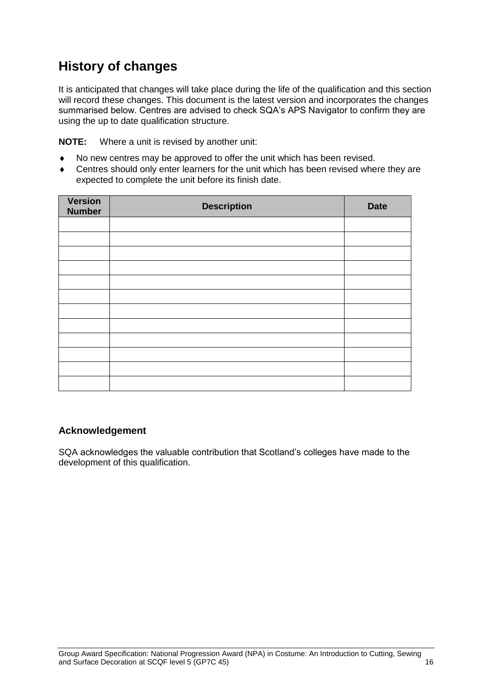## **History of changes**

It is anticipated that changes will take place during the life of the qualification and this section will record these changes. This document is the latest version and incorporates the changes summarised below. Centres are advised to check SQA's APS Navigator to confirm they are using the up to date qualification structure.

**NOTE:** Where a unit is revised by another unit:

- No new centres may be approved to offer the unit which has been revised.
- Centres should only enter learners for the unit which has been revised where they are expected to complete the unit before its finish date.

| <b>Version</b><br><b>Number</b> | <b>Description</b> | <b>Date</b> |
|---------------------------------|--------------------|-------------|
|                                 |                    |             |
|                                 |                    |             |
|                                 |                    |             |
|                                 |                    |             |
|                                 |                    |             |
|                                 |                    |             |
|                                 |                    |             |
|                                 |                    |             |
|                                 |                    |             |
|                                 |                    |             |
|                                 |                    |             |
|                                 |                    |             |

#### **Acknowledgement**

SQA acknowledges the valuable contribution that Scotland's colleges have made to the development of this qualification.